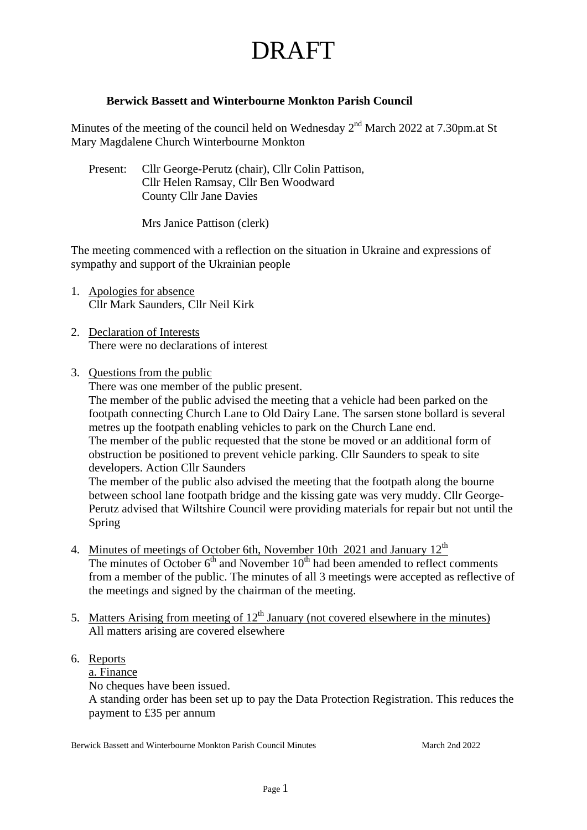#### **Berwick Bassett and Winterbourne Monkton Parish Council**

Minutes of the meeting of the council held on Wednesday  $2^{nd}$  March 2022 at 7.30pm.at St Mary Magdalene Church Winterbourne Monkton

Present: Cllr George-Perutz (chair), Cllr Colin Pattison, Cllr Helen Ramsay, Cllr Ben Woodward County Cllr Jane Davies

Mrs Janice Pattison (clerk)

The meeting commenced with a reflection on the situation in Ukraine and expressions of sympathy and support of the Ukrainian people

- 1. Apologies for absence Cllr Mark Saunders, Cllr Neil Kirk
- 2. Declaration of Interests There were no declarations of interest
- 3. Questions from the public

There was one member of the public present.

The member of the public advised the meeting that a vehicle had been parked on the footpath connecting Church Lane to Old Dairy Lane. The sarsen stone bollard is several metres up the footpath enabling vehicles to park on the Church Lane end. The member of the public requested that the stone be moved or an additional form of obstruction be positioned to prevent vehicle parking. Cllr Saunders to speak to site developers. Action Cllr Saunders

The member of the public also advised the meeting that the footpath along the bourne between school lane footpath bridge and the kissing gate was very muddy. Cllr George-Perutz advised that Wiltshire Council were providing materials for repair but not until the Spring

- 4. Minutes of meetings of October 6th, November 10th 2021 and January  $12<sup>th</sup>$ The minutes of October  $6<sup>th</sup>$  and November  $10<sup>th</sup>$  had been amended to reflect comments from a member of the public. The minutes of all 3 meetings were accepted as reflective of the meetings and signed by the chairman of the meeting.
- 5. Matters Arising from meeting of  $12<sup>th</sup>$  January (not covered elsewhere in the minutes) All matters arising are covered elsewhere

### 6. Reports

a. Finance

No cheques have been issued.

A standing order has been set up to pay the Data Protection Registration. This reduces the payment to £35 per annum

Berwick Bassett and Winterbourne Monkton Parish Council Minutes March 2nd 2022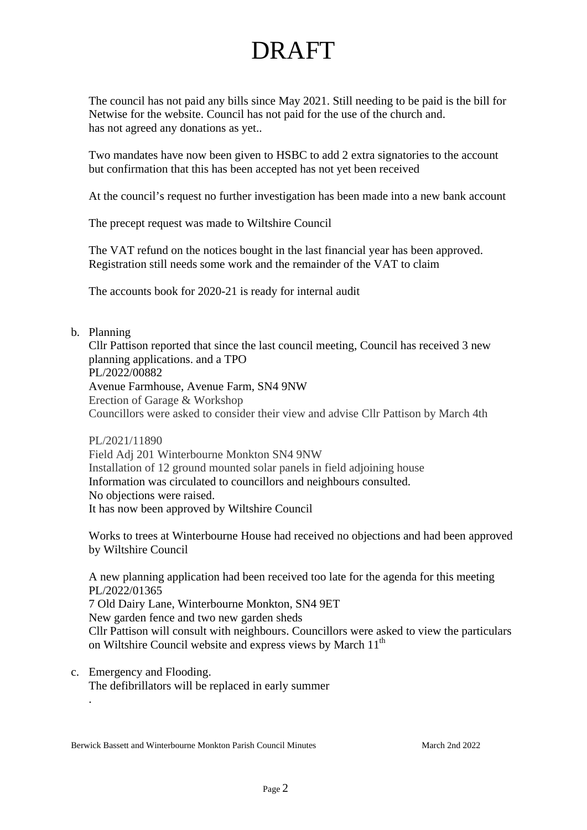The council has not paid any bills since May 2021. Still needing to be paid is the bill for Netwise for the website. Council has not paid for the use of the church and. has not agreed any donations as yet..

Two mandates have now been given to HSBC to add 2 extra signatories to the account but confirmation that this has been accepted has not yet been received

At the council's request no further investigation has been made into a new bank account

The precept request was made to Wiltshire Council

The VAT refund on the notices bought in the last financial year has been approved. Registration still needs some work and the remainder of the VAT to claim

The accounts book for 2020-21 is ready for internal audit

#### b. Planning

.

Cllr Pattison reported that since the last council meeting, Council has received 3 new planning applications. and a TPO PL/2022/00882 Avenue Farmhouse, Avenue Farm, SN4 9NW Erection of Garage & Workshop Councillors were asked to consider their view and advise Cllr Pattison by March 4th

PL/2021/11890 Field Adj 201 Winterbourne Monkton SN4 9NW Installation of 12 ground mounted solar panels in field adjoining house Information was circulated to councillors and neighbours consulted. No objections were raised. It has now been approved by Wiltshire Council

Works to trees at Winterbourne House had received no objections and had been approved by Wiltshire Council

A new planning application had been received too late for the agenda for this meeting PL/2022/01365 7 Old Dairy Lane, Winterbourne Monkton, SN4 9ET New garden fence and two new garden sheds Cllr Pattison will consult with neighbours. Councillors were asked to view the particulars on Wiltshire Council website and express views by March 11<sup>th</sup>

c. Emergency and Flooding. The defibrillators will be replaced in early summer

Berwick Bassett and Winterbourne Monkton Parish Council Minutes March 2nd 2022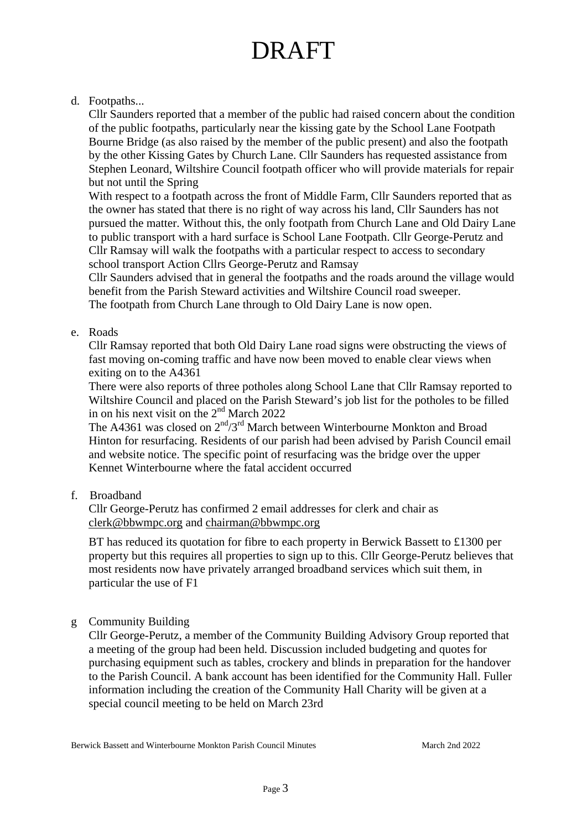### d. Footpaths...

Cllr Saunders reported that a member of the public had raised concern about the condition of the public footpaths, particularly near the kissing gate by the School Lane Footpath Bourne Bridge (as also raised by the member of the public present) and also the footpath by the other Kissing Gates by Church Lane. Cllr Saunders has requested assistance from Stephen Leonard, Wiltshire Council footpath officer who will provide materials for repair but not until the Spring

With respect to a footpath across the front of Middle Farm, Cllr Saunders reported that as the owner has stated that there is no right of way across his land, Cllr Saunders has not pursued the matter. Without this, the only footpath from Church Lane and Old Dairy Lane to public transport with a hard surface is School Lane Footpath. Cllr George-Perutz and Cllr Ramsay will walk the footpaths with a particular respect to access to secondary school transport Action Cllrs George-Perutz and Ramsay

Cllr Saunders advised that in general the footpaths and the roads around the village would benefit from the Parish Steward activities and Wiltshire Council road sweeper. The footpath from Church Lane through to Old Dairy Lane is now open.

#### e. Roads

Cllr Ramsay reported that both Old Dairy Lane road signs were obstructing the views of fast moving on-coming traffic and have now been moved to enable clear views when exiting on to the A4361

There were also reports of three potholes along School Lane that Cllr Ramsay reported to Wiltshire Council and placed on the Parish Steward's job list for the potholes to be filled in on his next visit on the  $2<sup>nd</sup>$  March 2022

The A4361 was closed on  $2<sup>nd</sup>/3<sup>rd</sup>$  March between Winterbourne Monkton and Broad Hinton for resurfacing. Residents of our parish had been advised by Parish Council email and website notice. The specific point of resurfacing was the bridge over the upper Kennet Winterbourne where the fatal accident occurred

f. Broadband

Cllr George-Perutz has confirmed 2 email addresses for clerk and chair as [clerk@bbwmpc.org](mailto:clerk@bbwmpc.org) and [chairman@bbwmpc.org](mailto:chairman@bbwmpc.org) 

BT has reduced its quotation for fibre to each property in Berwick Bassett to £1300 per property but this requires all properties to sign up to this. Cllr George-Perutz believes that most residents now have privately arranged broadband services which suit them, in particular the use of F1

#### g Community Building

Cllr George-Perutz, a member of the Community Building Advisory Group reported that a meeting of the group had been held. Discussion included budgeting and quotes for purchasing equipment such as tables, crockery and blinds in preparation for the handover to the Parish Council. A bank account has been identified for the Community Hall. Fuller information including the creation of the Community Hall Charity will be given at a special council meeting to be held on March 23rd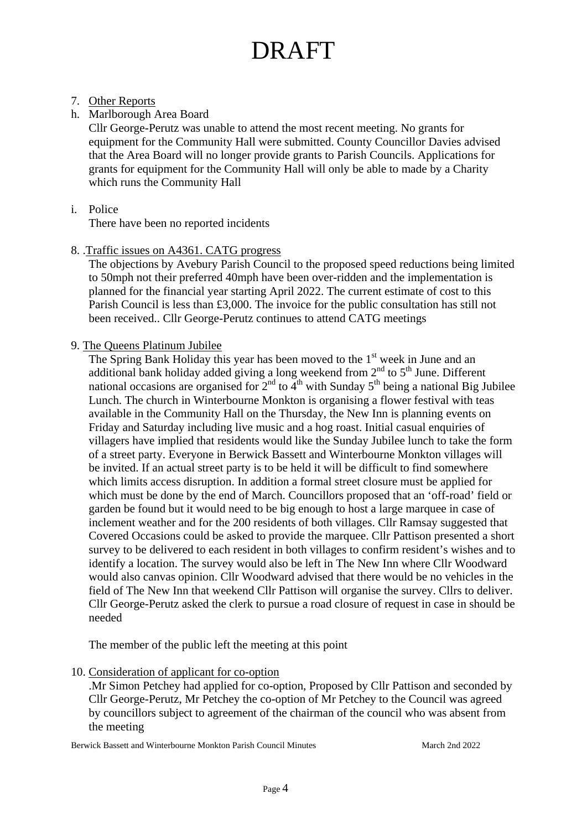#### 7. Other Reports

h. Marlborough Area Board

 Cllr George-Perutz was unable to attend the most recent meeting. No grants for equipment for the Community Hall were submitted. County Councillor Davies advised that the Area Board will no longer provide grants to Parish Councils. Applications for grants for equipment for the Community Hall will only be able to made by a Charity which runs the Community Hall

i. Police

There have been no reported incidents

8. .Traffic issues on A4361. CATG progress

The objections by Avebury Parish Council to the proposed speed reductions being limited to 50mph not their preferred 40mph have been over-ridden and the implementation is planned for the financial year starting April 2022. The current estimate of cost to this Parish Council is less than £3,000. The invoice for the public consultation has still not been received.. Cllr George-Perutz continues to attend CATG meetings

9. The Queens Platinum Jubilee

The Spring Bank Holiday this year has been moved to the 1<sup>st</sup> week in June and an additional bank holiday added giving a long weekend from  $2<sup>nd</sup>$  to  $5<sup>th</sup>$  June. Different national occasions are organised for  $2<sup>nd</sup>$  to  $4<sup>th</sup>$  with Sunday 5<sup>th</sup> being a national Big Jubilee Lunch. The church in Winterbourne Monkton is organising a flower festival with teas available in the Community Hall on the Thursday, the New Inn is planning events on Friday and Saturday including live music and a hog roast. Initial casual enquiries of villagers have implied that residents would like the Sunday Jubilee lunch to take the form of a street party. Everyone in Berwick Bassett and Winterbourne Monkton villages will be invited. If an actual street party is to be held it will be difficult to find somewhere which limits access disruption. In addition a formal street closure must be applied for which must be done by the end of March. Councillors proposed that an 'off-road' field or garden be found but it would need to be big enough to host a large marquee in case of inclement weather and for the 200 residents of both villages. Cllr Ramsay suggested that Covered Occasions could be asked to provide the marquee. Cllr Pattison presented a short survey to be delivered to each resident in both villages to confirm resident's wishes and to identify a location. The survey would also be left in The New Inn where Cllr Woodward would also canvas opinion. Cllr Woodward advised that there would be no vehicles in the field of The New Inn that weekend Cllr Pattison will organise the survey. Cllrs to deliver. Cllr George-Perutz asked the clerk to pursue a road closure of request in case in should be needed

The member of the public left the meeting at this point

10. Consideration of applicant for co-option

.Mr Simon Petchey had applied for co-option, Proposed by Cllr Pattison and seconded by Cllr George-Perutz, Mr Petchey the co-option of Mr Petchey to the Council was agreed by councillors subject to agreement of the chairman of the council who was absent from the meeting

Berwick Bassett and Winterbourne Monkton Parish Council Minutes March 2nd 2022